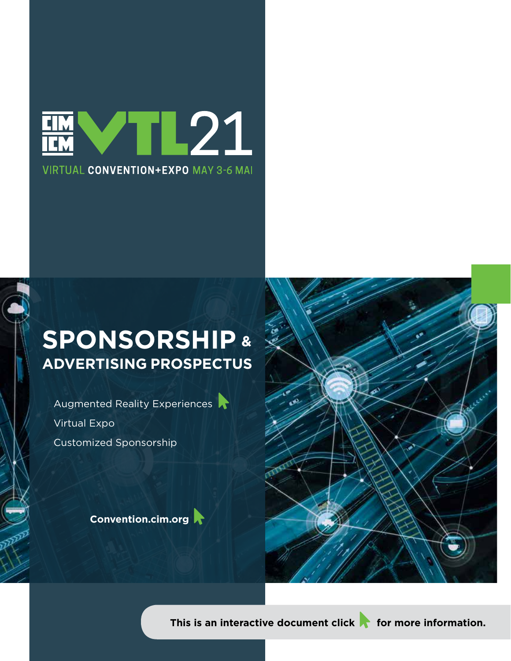

## **[SPONSORSHIP](https://vimeo.com/492593339) & ADVERTISING PROSPECTUS**

Augmented Reality Experiences Virtual Expo Customized Sponsorship

**[Convention.cim.org](https://convention.cim.org/)** 



**This is an interactive document click** for more information.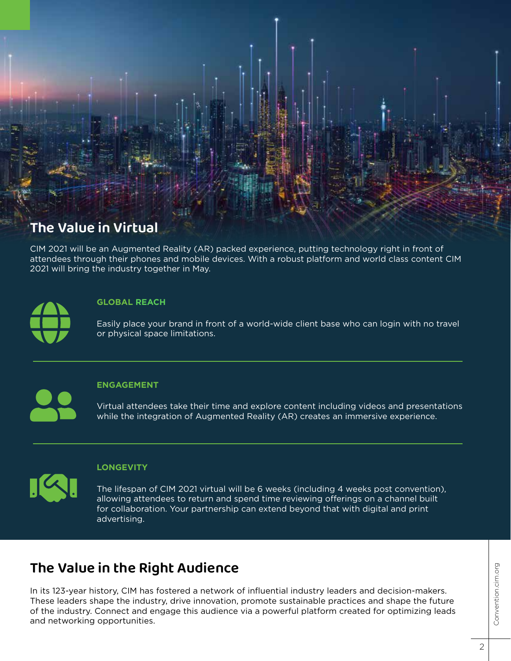

CIM 2021 will be an Augmented Reality (AR) packed experience, putting technology right in front of attendees through their phones and mobile devices. With a robust platform and world class content CIM 2021 will bring the industry together in May.



### **GLOBAL REACH**

Easily place your brand in front of a world-wide client base who can login with no travel or physical space limitations.

### **ENGAGEMENT**

Virtual attendees take their time and explore content including videos and presentations while the integration of Augmented Reality (AR) creates an immersive experience.

### **LONGEVITY**

The lifespan of CIM 2021 virtual will be 6 weeks (including 4 weeks post convention), allowing attendees to return and spend time reviewing offerings on a channel built for collaboration. Your partnership can extend beyond that with digital and print advertising.

## **The Value in the Right Audience**

In its 123-year history, CIM has fostered a network of influential industry leaders and decision-makers. These leaders shape the industry, drive innovation, promote sustainable practices and shape the future of the industry. Connect and engage this audience via a powerful platform created for optimizing leads and networking opportunities.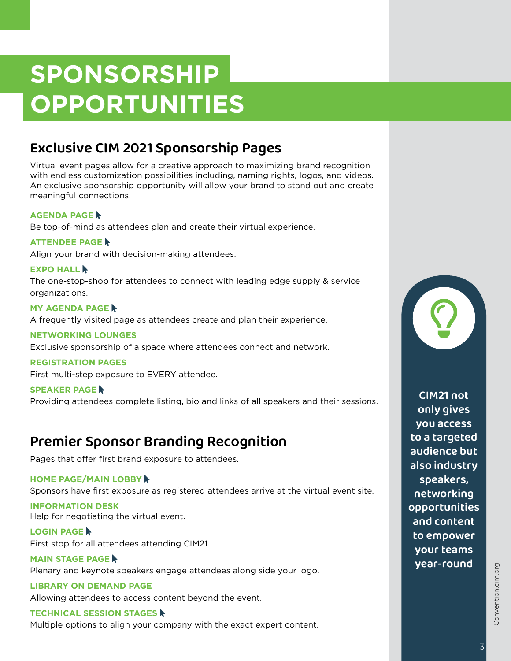## **SPONSORSHIP OPPORTUNITIES**

## **Exclusive CIM 2021 Sponsorship Pages**

Virtual event pages allow for a creative approach to maximizing brand recognition with endless customization possibilities including, naming rights, logos, and videos. An exclusive sponsorship opportunity will allow your brand to stand out and create meaningful connections.

## **[AGENDA PAGE](https://dvtail.com/wp-content/uploads/2021/02/CIM-Agenda-Page.pdf )**

Be top-of-mind as attendees plan and create their virtual experience.

### **[ATTENDEE PAGE](https://dvtail.com/wp-content/uploads/2021/02/CIM-Attendee-Page.pdf )**

Align your brand with decision-making attendees.

### **[EXPO HALL](https://dvtail.com/wp-content/uploads/2021/02/CIM-Expo-Hall.pdf) A**

The one-stop-shop for attendees to connect with leading edge supply & service organizations.

**[MY AGENDA PAGE](https://dvtail.com/wp-content/uploads/2021/02/CIM-My-Agenda-Page.pdf) &** A frequently visited page as attendees create and plan their experience.

#### **NETWORKING LOUNGES**

Exclusive sponsorship of a space where attendees connect and network.

#### **REGISTRATION PAGES**

First multi-step exposure to EVERY attendee.

#### **[SPEAKER PAGE](https://dvtail.com/wp-content/uploads/2021/02/CIM-Speaker-Page.pdf ) &** Providing attendees complete listing, bio and links of all speakers and their sessions. **CIM21 not**

## **Premier Sponsor Branding Recognition**

Pages that offer first brand exposure to attendees.

### **[HOME PAGE/MAIN LOBBY](https://dvtail.com/wp-content/uploads/2021/02/CIM-Home-Page-Main-Lobby.pdf )**

Sponsors have first exposure as registered attendees arrive at the virtual event site.

**INFORMATION DESK** Help for negotiating the virtual event.

#### **[LOGIN PAGE](https://dvtail.com/wp-content/uploads/2021/02/CIM-Login-Page.pdf ) A**

First stop for all attendees attending CIM21.

**[MAIN STAGE PAGE](https://dvtail.com/wp-content/uploads/2021/02/CIM-Main-Stage-Page.pdf ) &** Plenary and keynote speakers engage attendees along side your logo.

### **LIBRARY ON DEMAND PAGE**

Allowing attendees to access content beyond the event.

#### **[TECHNICAL SESSION STAGES](https://dvtail.com/wp-content/uploads/2021/02/CIM-Technical-Session-Page.pdf)**

Multiple options to align your company with the exact expert content.



**only gives you access to a targeted audience but also industry speakers, networking opportunities and content to empower your teams year-round**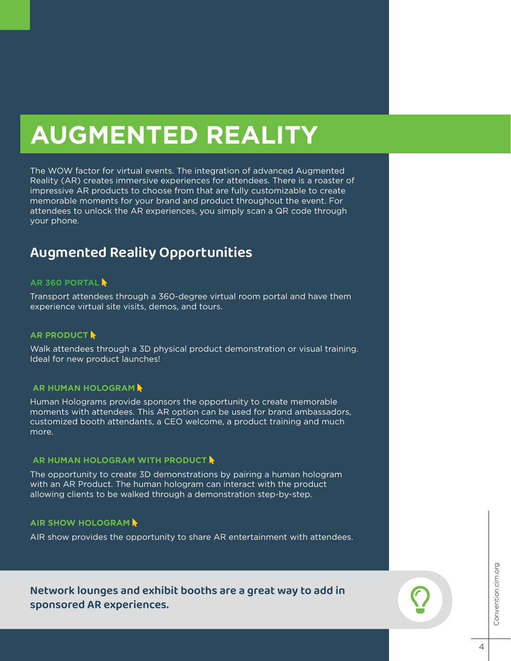## **AUGMENTED REALITY**

The WOW factor for virtual events. The integration of advanced Augmented Reality (AR) creates immersive experiences for attendees. There is a roaster of impressive AR products to choose from that are fully customizable to create memorable moments for your brand and product throughout the event. For attendees to unlock the AR experiences, you simply scan a QR code through your phone.

## **Augmented Reality Opportunities**

### **[AR 360 PORTAL](https://vimeo.com/479974330)**

Transport attendees through a 360-degree virtual room portal and have them experience virtual site visits, demos, and tours.

#### **[AR PRODUCT](https://vimeo.com/461920208/b9c7f930fe)**

Walk attendees through a 3D physical product demonstration or visual training. Ideal for new product launches!

#### **AR HUMAN HOLOGRAM**

Human Holograms provide sponsors the opportunity to create memorable moments with attendees. This AR option can be used for brand ambassadors, customized booth attendants, a CEO welcome, a product training and much more.

#### **AR HUMAN HOLOGRAM [WITH PRODUCT](https://vimeo.com/409813717) A**

The opportunity to create 3D demonstrations by pairing a human hologram with an AR Product. The human hologram can interact with the product allowing clients to be walked through a demonstration step-by-step.

#### **[AIR SHOW HOLOGRAM](https://vimeo.com/470720759)**

AIR show provides the opportunity to share AR entertainment with attendees.

**Network lounges and exhibit booths are a great way to add in sponsored AR experiences.**

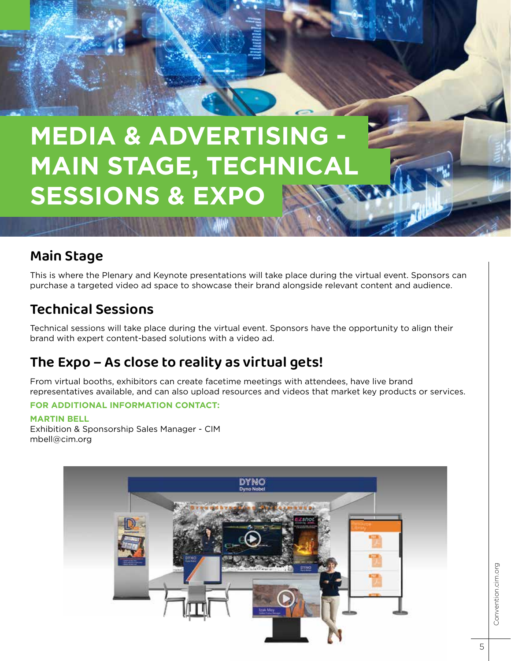## **MEDIA & ADVERTISING MAIN STAGE, TECHNICAL SESSIONS & EXPO**

## **Main Stage**

This is where the Plenary and Keynote presentations will take place during the virtual event. Sponsors can purchase a targeted video ad space to showcase their brand alongside relevant content and audience.

## **Technical Sessions**

Technical sessions will take place during the virtual event. Sponsors have the opportunity to align their brand with expert content-based solutions with a video ad.

## **The Expo – As close to reality as virtual gets!**

From virtual booths, exhibitors can create facetime meetings with attendees, have live brand representatives available, and can also upload resources and videos that market key products or services.

## **FOR ADDITIONAL INFORMATION CONTACT:**

### **MARTIN BELL**

Exhibition & Sponsorship Sales Manager - CIM mbell@cim.org

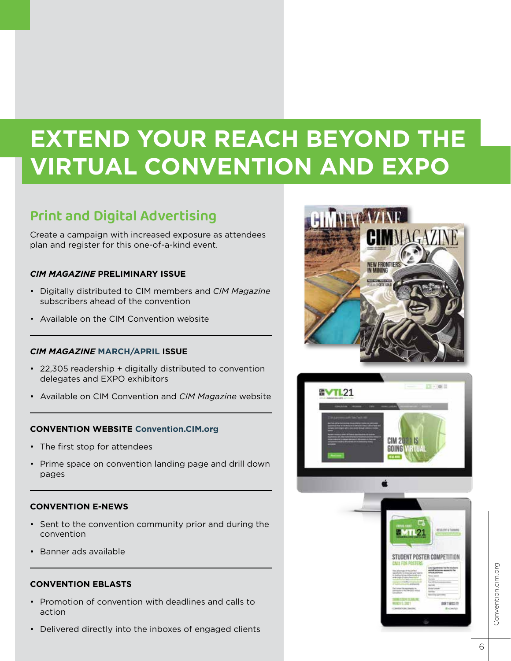## **EXTEND YOUR REACH BEYOND THE VIRTUAL CONVENTION AND EXPO**

## **Print and Digital Advertising**

Create a campaign with increased exposure as attendees plan and register for this one-of-a-kind event.

## *CIM MAGAZINE* **PRELIMINARY ISSUE**

- Digitally distributed to CIM members and *CIM Magazine* subscribers ahead of the convention
- Available on the CIM Convention website

## *CIM MAGAZINE* **MARCH/APRIL ISSUE**

- 22,305 readership + digitally distributed to convention delegates and EXPO exhibitors
- Available on CIM Convention and *CIM Magazine* website

## **CONVENTION WEBSITE [Convention.CIM.org](https://convention.cim.org/)**

- The first stop for attendees
- Prime space on convention landing page and drill down pages

## **CONVENTION E-NEWS**

- Sent to the convention community prior and during the convention
- Banner ads available

## **CONVENTION EBLASTS**

- Promotion of convention with deadlines and calls to action
- Delivered directly into the inboxes of engaged clients



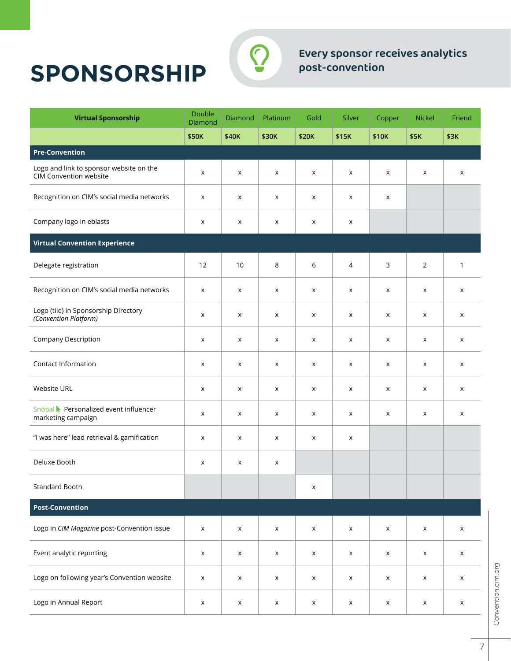## **SPONSORSHIP**



## **Every sponsor receives analytics post-convention**

| <b>Virtual Sponsorship</b>                                               | Double<br>Diamond         | Diamond | Platinum       | Gold               | Silver         | Copper             | <b>Nickel</b>  | Friend |
|--------------------------------------------------------------------------|---------------------------|---------|----------------|--------------------|----------------|--------------------|----------------|--------|
|                                                                          | \$50K                     | \$40K   | \$30K          | \$20K              | \$15K          | \$10K              | \$5K           | \$3K   |
| <b>Pre-Convention</b>                                                    |                           |         |                |                    |                |                    |                |        |
| Logo and link to sponsor website on the<br><b>CIM Convention website</b> | $\boldsymbol{\mathsf{x}}$ | X       | X              | X                  | X              | X                  | $\pmb{\times}$ | X      |
| Recognition on CIM's social media networks                               | X                         | X       | X              | X                  | X              | X                  |                |        |
| Company logo in eblasts                                                  | X                         | X       | X              | X                  | X              |                    |                |        |
| <b>Virtual Convention Experience</b>                                     |                           |         |                |                    |                |                    |                |        |
| Delegate registration                                                    | 12                        | 10      | 8              | 6                  | 4              | 3                  | 2              | 1      |
| Recognition on CIM's social media networks                               | X                         | X       | X              | X                  | X              | X                  | $\pmb{\times}$ | X      |
| Logo (tile) in Sponsorship Directory<br>(Convention Platform)            | X                         | X       | X              | X                  | X              | X                  | X              | X      |
| Company Description                                                      | X                         | X       | X              | X                  | X              | X                  | X              | X      |
| Contact Information                                                      | X                         | X       | X              | X                  | X              | X                  | X              | X      |
| Website URL                                                              | X                         | X       | X              | X                  | X              | X                  | X              | X      |
| Snöbal Personalized event influencer<br>marketing campaign               | X                         | X       | X              | X                  | X              | X                  | X              | X      |
| "I was here" lead retrieval & gamification                               | X                         | X       | X              | X                  | X              |                    |                |        |
| Deluxe Booth                                                             | X                         | X       | X              |                    |                |                    |                |        |
| Standard Booth                                                           |                           |         |                | X                  |                |                    |                |        |
| <b>Post-Convention</b>                                                   |                           |         |                |                    |                |                    |                |        |
| Logo in CIM Magazine post-Convention issue                               | X                         | X       | X              | X                  | X              | $\pmb{\mathsf{X}}$ | X              | X      |
| Event analytic reporting                                                 | X                         | X       | X              | X                  | X              | $\mathsf X$        | X              | X      |
| Logo on following year's Convention website                              | X                         | X       | $\pmb{\times}$ | $\pmb{\mathsf{X}}$ | X              | $\pmb{\mathsf{X}}$ | $\mathsf X$    | X      |
| Logo in Annual Report                                                    | Х                         | X       | X              | X                  | $\pmb{\times}$ | X                  | $\pmb{\times}$ | X      |

Convention.cim.org Convention.cim.org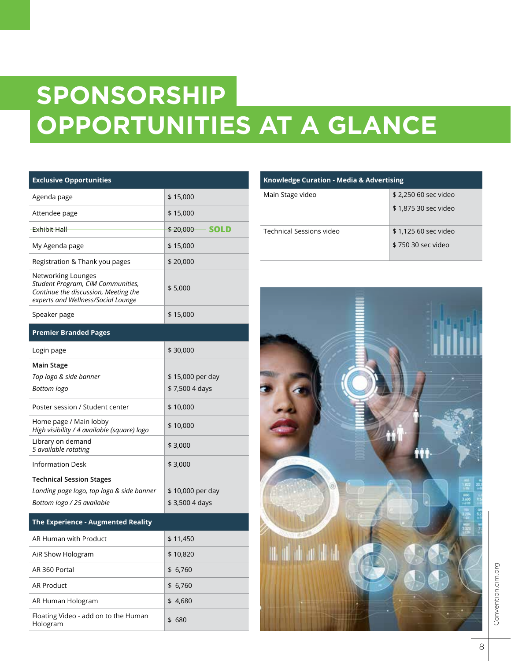# **SPONSORSHIP OPPORTUNITIES AT A GLANCE**

| <b>Exclusive Opportunities</b>                                                                                                        |                                  |
|---------------------------------------------------------------------------------------------------------------------------------------|----------------------------------|
| Agenda page                                                                                                                           | \$15,000                         |
| Attendee page                                                                                                                         | \$15,000                         |
| Exhibit Hall                                                                                                                          | <del>\$20,000 \$</del><br>- SOLD |
| My Agenda page                                                                                                                        | \$15,000                         |
| Registration & Thank you pages                                                                                                        | \$20,000                         |
| Networking Lounges<br>Student Program, CIM Communities,<br>Continue the discussion, Meeting the<br>experts and Wellness/Social Lounge | \$5,000                          |
| Speaker page                                                                                                                          | \$15,000                         |
| <b>Premier Branded Pages</b>                                                                                                          |                                  |
| Login page                                                                                                                            | \$30,000                         |
| Main Stage                                                                                                                            |                                  |
| Top logo & side banner                                                                                                                | \$15,000 per day                 |
| Bottom logo                                                                                                                           | \$7,500 4 days                   |
| Poster session / Student center                                                                                                       | \$10,000                         |
| Home page / Main lobby<br>High visibility / 4 available (square) logo                                                                 | \$10,000                         |
| Library on demand<br>5 available rotating                                                                                             | \$3,000                          |
| <b>Information Desk</b>                                                                                                               | \$3,000                          |
| Technical Session Stages                                                                                                              |                                  |
| Landing page logo, top logo & side banner                                                                                             | \$ 10,000 per day                |
| Bottom logo / 25 available                                                                                                            | \$3,500 4 days                   |
| The Experience - Augmented Reality                                                                                                    |                                  |
| AR Human with Product                                                                                                                 | \$11,450                         |
| AiR Show Hologram                                                                                                                     | \$10,820                         |
| AR 360 Portal                                                                                                                         | \$6,760                          |

AR Product \$ 6,760 AR Human Hologram  $\frac{1}{3}$  4,680

Floating Video - add on to the Human states in \$ 680<br>Hologram

| <b>Knowledge Curation - Media &amp; Advertising</b> |                      |  |  |  |  |
|-----------------------------------------------------|----------------------|--|--|--|--|
| Main Stage video                                    | \$2,250 60 sec video |  |  |  |  |
|                                                     | \$1,875 30 sec video |  |  |  |  |
| Technical Sessions video                            | \$1,125 60 sec video |  |  |  |  |
|                                                     | \$750.30 sec video   |  |  |  |  |

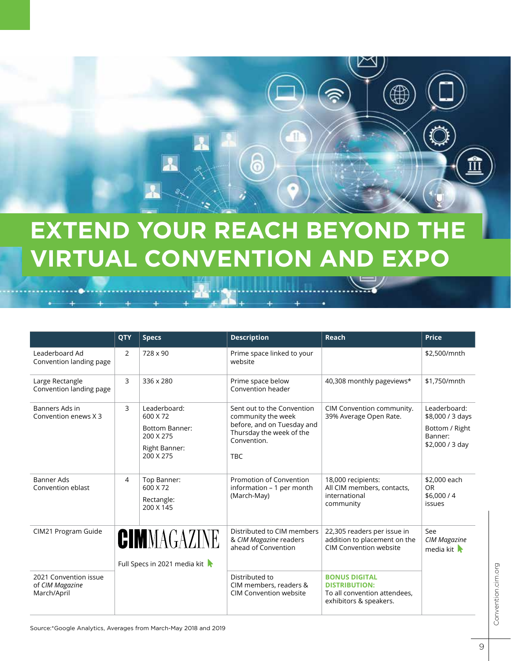## **EXTEND YOUR REACH BEYOND T VIRTUAL CONVENTION AND EXPO**

6

₽

|                                                         | QTY                                         | <b>Specs</b>                                                                                 | <b>Description</b>                                                                                                                      | Reach                                                                                                  | <b>Price</b>                                                                     |
|---------------------------------------------------------|---------------------------------------------|----------------------------------------------------------------------------------------------|-----------------------------------------------------------------------------------------------------------------------------------------|--------------------------------------------------------------------------------------------------------|----------------------------------------------------------------------------------|
| Leaderboard Ad<br>Convention landing page               | $\overline{2}$                              | 728 x 90                                                                                     | Prime space linked to your<br>website                                                                                                   |                                                                                                        | \$2,500/mnth                                                                     |
| Large Rectangle<br>Convention landing page              | 3                                           | 336 x 280                                                                                    | Prime space below<br>Convention header                                                                                                  | 40,308 monthly pageviews*                                                                              | \$1,750/mnth                                                                     |
| Banners Ads in<br>Convention enews X 3                  | 3                                           | Leaderboard:<br>600 X 72<br><b>Bottom Banner:</b><br>200 X 275<br>Right Banner:<br>200 X 275 | Sent out to the Convention<br>community the week<br>before, and on Tuesday and<br>Thursday the week of the<br>Convention.<br><b>TBC</b> | CIM Convention community.<br>39% Average Open Rate.                                                    | Leaderboard:<br>\$8,000 / 3 days<br>Bottom / Right<br>Banner:<br>\$2,000 / 3 day |
| <b>Banner Ads</b><br>Convention eblast                  | 4                                           | Top Banner:<br>600 X 72<br>Rectangle:<br>200 X 145                                           | Promotion of Convention<br>information - 1 per month<br>(March-May)                                                                     | 18,000 recipients:<br>All CIM members, contacts,<br>international<br>community                         | \$2,000 each<br><b>OR</b><br>\$6,000/4<br>issues                                 |
| CIM21 Program Guide                                     | CIMMAGAZINE<br>Full Specs in 2021 media kit |                                                                                              | Distributed to CIM members<br>& CIM Magazine readers<br>ahead of Convention                                                             | 22,305 readers per issue in<br>addition to placement on the<br>CIM Convention website                  | See<br><b>CIM Magazine</b><br>media kit $\blacktriangleright$                    |
| 2021 Convention issue<br>of CIM Magazine<br>March/April |                                             |                                                                                              | Distributed to<br>CIM members, readers &<br><b>CIM Convention website</b>                                                               | <b>BONUS DIGITAL</b><br><b>DISTRIBUTION:</b><br>To all convention attendees,<br>exhibitors & speakers. |                                                                                  |